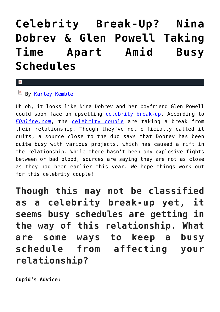## **[Celebrity Break-Up? Nina](https://cupidspulse.com/121883/celebrity-break-up-nina-dobrev-glen-powell-taking-time-apart/) [Dobrev & Glen Powell Taking](https://cupidspulse.com/121883/celebrity-break-up-nina-dobrev-glen-powell-taking-time-apart/) [Time Apart Amid Busy](https://cupidspulse.com/121883/celebrity-break-up-nina-dobrev-glen-powell-taking-time-apart/) [Schedules](https://cupidspulse.com/121883/celebrity-break-up-nina-dobrev-glen-powell-taking-time-apart/)**

## $\mathbf{x}$

 $By$  [Karley Kemble](http://cupidspulse.com/121255/karley-kemble/)

Uh oh, it looks like Nina Dobrev and her boyfriend Glen Powell could soon face an upsetting [celebrity break-up.](http://cupidspulse.com/celebrity-relationships/break-up-divorce/) According to *[EOnline.com](http://www.eonline.com/news/897118/nina-dobrev-and-glen-powell-taking-time-apart-amid-busy-schedules)*, the [celebrity couple](http://cupidspulse.com/celebrity-news/celebrity-dating/) are taking a break from their relationship. Though they've not officially called it quits, a source close to the duo says that Dobrev has been quite busy with various projects, which has caused a rift in the relationship. While there hasn't been any explosive fights between or bad blood, sources are saying they are not as close as they had been earlier this year. We hope things work out for this celebrity couple!

**Though this may not be classified as a celebrity break-up yet, it seems busy schedules are getting in the way of this relationship. What are some ways to keep a busy schedule from affecting your relationship?**

**Cupid's Advice:**